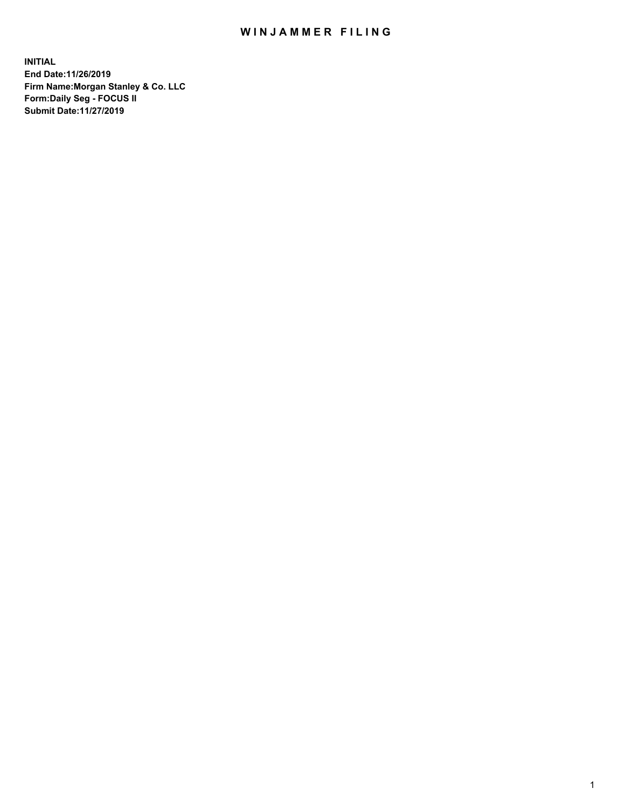## WIN JAMMER FILING

**INITIAL End Date:11/26/2019 Firm Name:Morgan Stanley & Co. LLC Form:Daily Seg - FOCUS II Submit Date:11/27/2019**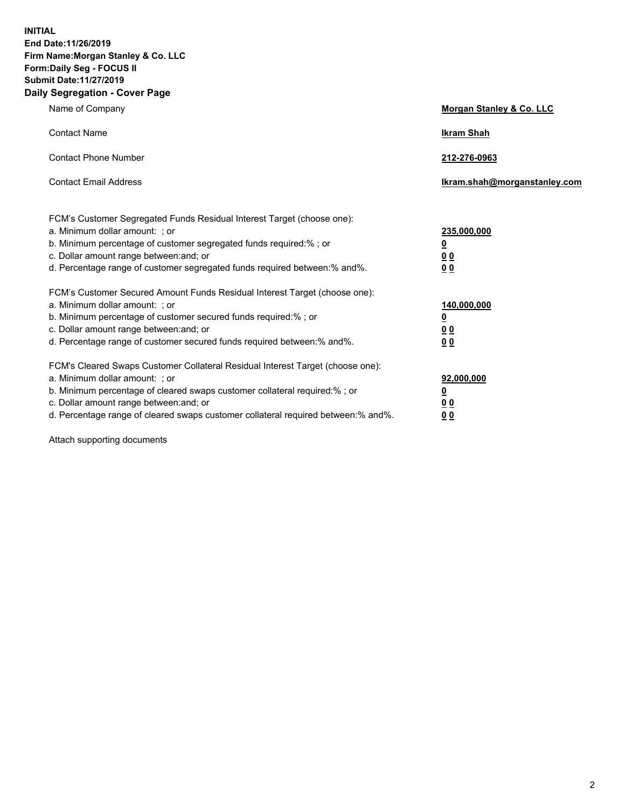**INITIAL End Date:11/26/2019 Firm Name:Morgan Stanley & Co. LLC Form:Daily Seg - FOCUS II Submit Date:11/27/2019 Daily Segregation - Cover Page**

| Name of Company                                                                   | Morgan Stanley & Co. LLC     |
|-----------------------------------------------------------------------------------|------------------------------|
| <b>Contact Name</b>                                                               | <b>Ikram Shah</b>            |
| <b>Contact Phone Number</b>                                                       | 212-276-0963                 |
| <b>Contact Email Address</b>                                                      | Ikram.shah@morganstanley.com |
| FCM's Customer Segregated Funds Residual Interest Target (choose one):            |                              |
| a. Minimum dollar amount: ; or                                                    | 235,000,000                  |
| b. Minimum percentage of customer segregated funds required:% ; or                | <u>0</u>                     |
| c. Dollar amount range between: and; or                                           | <u>00</u>                    |
| d. Percentage range of customer segregated funds required between:% and%.         | 0 <sub>0</sub>               |
| FCM's Customer Secured Amount Funds Residual Interest Target (choose one):        |                              |
| a. Minimum dollar amount: ; or                                                    | 140,000,000                  |
| b. Minimum percentage of customer secured funds required:%; or                    | <u>0</u>                     |
| c. Dollar amount range between: and; or                                           | <u>00</u>                    |
| d. Percentage range of customer secured funds required between:% and%.            | 00                           |
| FCM's Cleared Swaps Customer Collateral Residual Interest Target (choose one):    |                              |
| a. Minimum dollar amount: ; or                                                    | 92,000,000                   |
| b. Minimum percentage of cleared swaps customer collateral required:% ; or        | <u>0</u>                     |
| c. Dollar amount range between: and; or                                           | 0 Q                          |
| d. Percentage range of cleared swaps customer collateral required between:% and%. | 00                           |

Attach supporting documents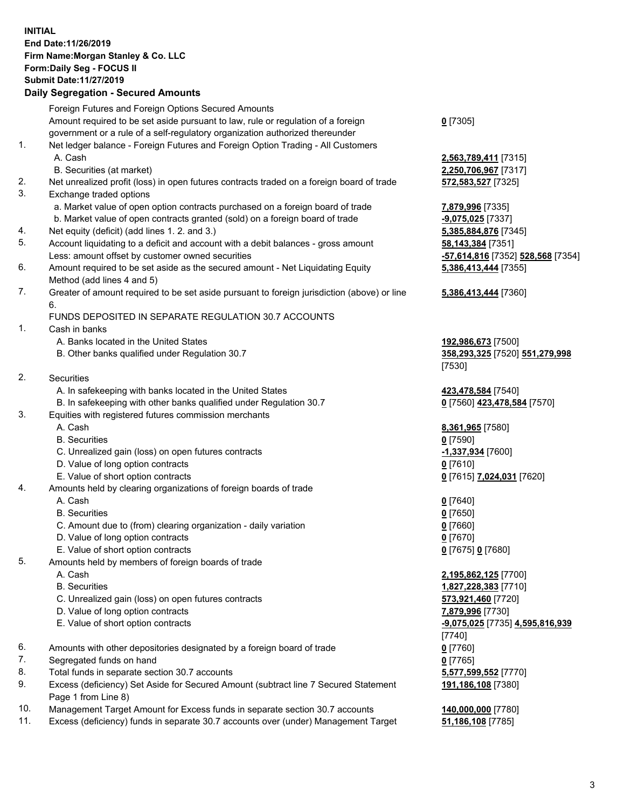## **INITIAL End Date:11/26/2019 Firm Name:Morgan Stanley & Co. LLC Form:Daily Seg - FOCUS II Submit Date:11/27/2019**

## **Daily Segregation - Secured Amounts**

|          | Foreign Futures and Foreign Options Secured Amounts                                                                  |                                   |
|----------|----------------------------------------------------------------------------------------------------------------------|-----------------------------------|
|          | Amount required to be set aside pursuant to law, rule or regulation of a foreign                                     | $0$ [7305]                        |
|          | government or a rule of a self-regulatory organization authorized thereunder                                         |                                   |
| 1.       | Net ledger balance - Foreign Futures and Foreign Option Trading - All Customers                                      |                                   |
|          | A. Cash                                                                                                              | 2,563,789,411 [7315]              |
|          | B. Securities (at market)                                                                                            | 2,250,706,967 [7317]              |
| 2.<br>3. | Net unrealized profit (loss) in open futures contracts traded on a foreign board of trade<br>Exchange traded options | 572,583,527 [7325]                |
|          | a. Market value of open option contracts purchased on a foreign board of trade                                       | 7,879,996 [7335]                  |
|          | b. Market value of open contracts granted (sold) on a foreign board of trade                                         | -9,075,025 [7337]                 |
| 4.       | Net equity (deficit) (add lines 1. 2. and 3.)                                                                        | 5,385,884,876 [7345]              |
| 5.       | Account liquidating to a deficit and account with a debit balances - gross amount                                    | 58,143,384 [7351]                 |
|          | Less: amount offset by customer owned securities                                                                     | -57,614,816 [7352] 528,568 [7354] |
| 6.       | Amount required to be set aside as the secured amount - Net Liquidating Equity                                       | 5,386,413,444 [7355]              |
|          | Method (add lines 4 and 5)                                                                                           |                                   |
| 7.       | Greater of amount required to be set aside pursuant to foreign jurisdiction (above) or line                          | 5,386,413,444 [7360]              |
|          | 6.                                                                                                                   |                                   |
|          | FUNDS DEPOSITED IN SEPARATE REGULATION 30.7 ACCOUNTS                                                                 |                                   |
| 1.       | Cash in banks                                                                                                        |                                   |
|          | A. Banks located in the United States                                                                                | 192,986,673 [7500]                |
|          | B. Other banks qualified under Regulation 30.7                                                                       | 358,293,325 [7520] 551,279,998    |
|          |                                                                                                                      | [7530]                            |
| 2.       | Securities                                                                                                           |                                   |
|          | A. In safekeeping with banks located in the United States                                                            | 423,478,584 [7540]                |
|          | B. In safekeeping with other banks qualified under Regulation 30.7                                                   | 0 [7560] 423,478,584 [7570]       |
| 3.       | Equities with registered futures commission merchants                                                                |                                   |
|          | A. Cash                                                                                                              | 8,361,965 [7580]                  |
|          | <b>B.</b> Securities                                                                                                 | $0$ [7590]                        |
|          | C. Unrealized gain (loss) on open futures contracts                                                                  | -1,337,934 [7600]                 |
|          | D. Value of long option contracts                                                                                    | $0$ [7610]                        |
|          | E. Value of short option contracts                                                                                   | 0 [7615] 7,024,031 [7620]         |
| 4.       | Amounts held by clearing organizations of foreign boards of trade                                                    |                                   |
|          | A. Cash                                                                                                              | $0$ [7640]                        |
|          | <b>B.</b> Securities                                                                                                 | $0$ [7650]                        |
|          | C. Amount due to (from) clearing organization - daily variation                                                      | $0$ [7660]                        |
|          | D. Value of long option contracts                                                                                    | $0$ [7670]                        |
|          | E. Value of short option contracts                                                                                   | 0 [7675] 0 [7680]                 |
| 5.       | Amounts held by members of foreign boards of trade                                                                   |                                   |
|          | A. Cash                                                                                                              | 2,195,862,125 [7700]              |
|          | <b>B.</b> Securities                                                                                                 | 1,827,228,383 [7710]              |
|          | C. Unrealized gain (loss) on open futures contracts                                                                  | 573,921,460 [7720]                |
|          | D. Value of long option contracts                                                                                    | 7,879,996 [7730]                  |
|          | E. Value of short option contracts                                                                                   | -9,075,025 [7735] 4,595,816,939   |
|          | Amounts with other depositories designated by a foreign board of trade                                               | [7740]                            |
| 6.       |                                                                                                                      | $0$ [7760]                        |
| 7.<br>8. | Segregated funds on hand                                                                                             | $0$ [7765]                        |
| 9.       | Total funds in separate section 30.7 accounts                                                                        | 5,577,599,552 [7770]              |
|          | Excess (deficiency) Set Aside for Secured Amount (subtract line 7 Secured Statement<br>Page 1 from Line 8)           | 191,186,108 [7380]                |
| 1 N      | Managament Taract Amount for Excess fundo in congrate section 20.7 accounts                                          | 440.000.000.177901                |

- 10. Management Target Amount for Excess funds in separate section 30.7 accounts **140,000,000** [7780]
- 11. Excess (deficiency) funds in separate 30.7 accounts over (under) Management Target **51,186,108** [7785]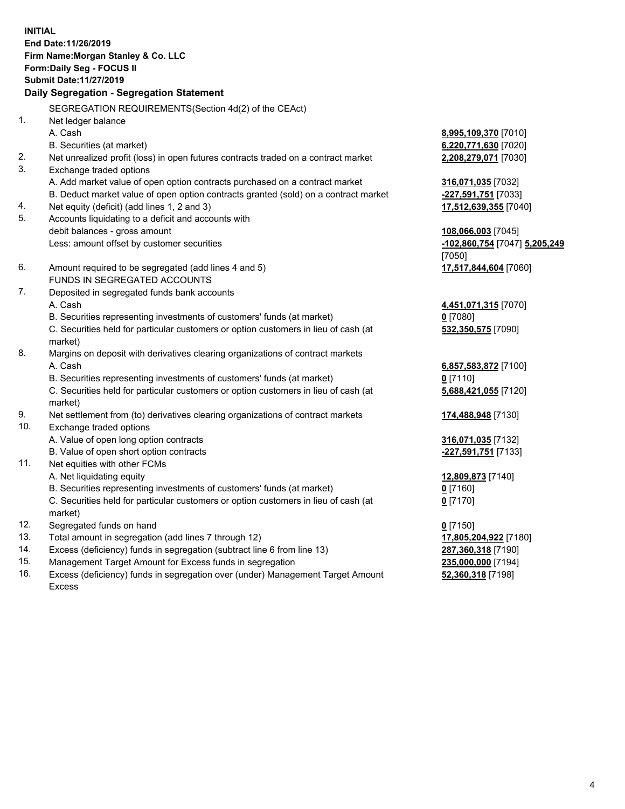**INITIAL End Date:11/26/2019 Firm Name:Morgan Stanley & Co. LLC Form:Daily Seg - FOCUS II Submit Date:11/27/2019 Daily Segregation - Segregation Statement** SEGREGATION REQUIREMENTS(Section 4d(2) of the CEAct) 1. Net ledger balance A. Cash **8,995,109,370** [7010] B. Securities (at market) **6,220,771,630** [7020] 2. Net unrealized profit (loss) in open futures contracts traded on a contract market **2,208,279,071** [7030] 3. Exchange traded options A. Add market value of open option contracts purchased on a contract market **316,071,035** [7032] B. Deduct market value of open option contracts granted (sold) on a contract market **-227,591,751** [7033] 4. Net equity (deficit) (add lines 1, 2 and 3) **17,512,639,355** [7040] 5. Accounts liquidating to a deficit and accounts with debit balances - gross amount **108,066,003** [7045] Less: amount offset by customer securities **-102,860,754** [7047] **5,205,249** [7050] 6. Amount required to be segregated (add lines 4 and 5) **17,517,844,604** [7060] FUNDS IN SEGREGATED ACCOUNTS 7. Deposited in segregated funds bank accounts A. Cash **4,451,071,315** [7070] B. Securities representing investments of customers' funds (at market) **0** [7080] C. Securities held for particular customers or option customers in lieu of cash (at market) **532,350,575** [7090] 8. Margins on deposit with derivatives clearing organizations of contract markets A. Cash **6,857,583,872** [7100] B. Securities representing investments of customers' funds (at market) **0** [7110] C. Securities held for particular customers or option customers in lieu of cash (at market) **5,688,421,055** [7120] 9. Net settlement from (to) derivatives clearing organizations of contract markets **174,488,948** [7130] 10. Exchange traded options A. Value of open long option contracts **316,071,035** [7132] B. Value of open short option contracts **-227,591,751** [7133] 11. Net equities with other FCMs A. Net liquidating equity **12,809,873** [7140] B. Securities representing investments of customers' funds (at market) **0** [7160] C. Securities held for particular customers or option customers in lieu of cash (at market) **0** [7170] 12. Segregated funds on hand **0** [7150] 13. Total amount in segregation (add lines 7 through 12) **17,805,204,922** [7180] 14. Excess (deficiency) funds in segregation (subtract line 6 from line 13) **287,360,318** [7190]

- 15. Management Target Amount for Excess funds in segregation **235,000,000** [7194]
- 16. Excess (deficiency) funds in segregation over (under) Management Target Amount Excess

**52,360,318** [7198]